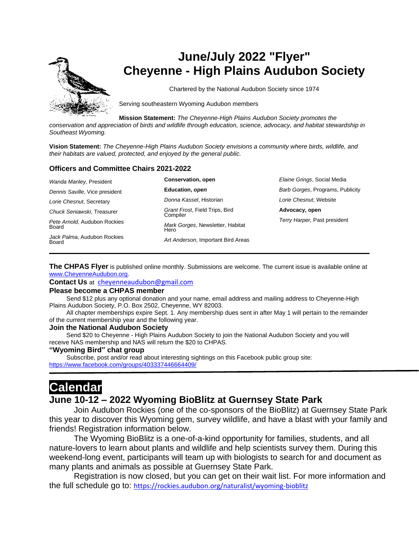

# **June/July 2022 "Flyer" Cheyenne - High Plains Audubon Society**

Chartered by the National Audubon Society since 1974

Serving southeastern Wyoming Audubon members

**Mission Statement:** *The Cheyenne-High Plains Audubon Society promotes the* 

*conservation and appreciation of birds and wildlife through education, science, advocacy, and habitat stewardship in Southeast Wyoming.*

**Vision Statement:** *The Cheyenne-High Plains Audubon Society envisions a community where birds, wildlife, and their habitats are valued, protected, and enjoyed by the general public.*

#### **Officers and Committee Chairs 2021-2022**

| Wanda Manley, President               | <b>Conservation, open</b>                  | Elaine Grings, Social Media      |
|---------------------------------------|--------------------------------------------|----------------------------------|
| Dennis Saville, Vice president        | Education, open                            | Barb Gorges, Programs, Publicity |
| Lorie Chesnut, Secretary              | Donna Kassel, Historian                    | Lorie Chesnut, Website           |
| Chuck Seniawski. Treasurer            | Grant Frost, Field Trips, Bird<br>Compiler | Advocacy, open                   |
| Pete Arnold, Audubon Rockies<br>Board | Mark Gorges, Newsletter, Habitat<br>Hero   | Terry Harper, Past president     |
| Jack Palma, Audubon Rockies<br>Board  | Art Anderson, Important Bird Areas         |                                  |

**The CHPAS Flyer** is published online monthly. Submissions are welcome. The current issue is available online at [www.CheyenneAudubon.org.](http://www.cheyenneaudubon.org/)

**Contact Us** at [cheyenneaudubon@gmail.com](mailto:cheyenneaudubon@gmail.com)

#### **Please become a CHPAS member**

 Send \$12 plus any optional donation and your name, email address and mailing address to Cheyenne-High Plains Audubon Society, P.O. Box 2502, Cheyenne, WY 82003.

 All chapter memberships expire Sept. 1. Any membership dues sent in after May 1 will pertain to the remainder of the current membership year and the following year.

#### **Join the National Audubon Society**

 Send \$20 to Cheyenne - High Plains Audubon Society to join the National Audubon Society and you will receive NAS membership and NAS will return the \$20 to CHPAS.

#### **"Wyoming Bird" chat group**

 Subscribe, post and/or read about interesting sightings on this Facebook public group site: <https://www.facebook.com/groups/403337446664409/>

# **Calendar**

### **June 10-12 – 2022 Wyoming BioBlitz at Guernsey State Park**

Join Audubon Rockies (one of the co-sponsors of the BioBlitz) at Guernsey State Park this year to discover this Wyoming gem, survey wildlife, and have a blast with your family and friends! Registration information below.

The Wyoming BioBlitz is a one-of-a-kind opportunity for families, students, and all nature-lovers to learn about plants and wildlife and help scientists survey them. During this weekend-long event, participants will team up with biologists to search for and document as many plants and animals as possible at Guernsey State Park.

Registration is now closed, but you can get on their wait list. For more information and the full schedule go to: <https://rockies.audubon.org/naturalist/wyoming-bioblitz>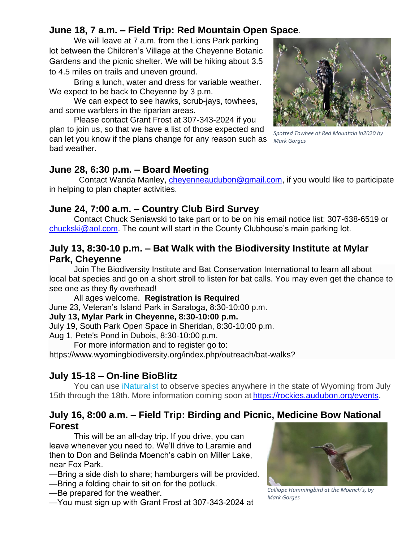# **June 18, 7 a.m. – Field Trip: Red Mountain Open Space**.

We will leave at 7 a.m. from the Lions Park parking lot between the Children's Village at the Cheyenne Botanic Gardens and the picnic shelter. We will be hiking about 3.5 to 4.5 miles on trails and uneven ground.

Bring a lunch, water and dress for variable weather. We expect to be back to Cheyenne by 3 p.m.

We can expect to see hawks, scrub-jays, towhees, and some warblers in the riparian areas.

Please contact Grant Frost at 307-343-2024 if you plan to join us, so that we have a list of those expected and can let you know if the plans change for any reason such as *Mark Gorges* bad weather.



*Spotted Towhee at Red Mountain in2020 by* 

### **June 28, 6:30 p.m. – Board Meeting**

Contact Wanda Manley, [cheyenneaudubon@gmail.com,](mailto:cheyenneaudubon@gmail.com) if you would like to participate in helping to plan chapter activities.

## **June 24, 7:00 a.m. – Country Club Bird Survey**

Contact Chuck Seniawski to take part or to be on his email notice list: 307-638-6519 or [chuckski@aol.com.](mailto:chuckski@aol.com) The count will start in the County Clubhouse's main parking lot.

## **July 13, 8:30-10 p.m. – Bat Walk with the Biodiversity Institute at Mylar Park, Cheyenne**

Join The Biodiversity Institute and Bat Conservation International to learn all about local bat species and go on a short stroll to listen for bat calls. You may even get the chance to see one as they fly overhead!

All ages welcome. **Registration is Required** June 23, Veteran's Island Park in Saratoga, 8:30-10:00 p.m.

### **July 13, Mylar Park in Cheyenne, 8:30-10:00 p.m.**

July 19, South Park Open Space in Sheridan, 8:30-10:00 p.m.

Aug 1, Pete's Pond in Dubois, 8:30-10:00 p.m.

For more information and to register go to:

https://www.wyomingbiodiversity.org/index.php/outreach/bat-walks?

# **July 15-18 – On-line BioBlitz**

You can use [iNaturalist](https://www.inaturalist.org/projects/2022-wyoming-statewide-bioblitz) to observe species anywhere in the state of Wyoming from July 15th through the 18th. More information coming soon at [https://rockies.audubon.org/events.](https://rockies.audubon.org/events)

## **July 16, 8:00 a.m. – Field Trip: Birding and Picnic, Medicine Bow National Forest**

This will be an all-day trip. If you drive, you can leave whenever you need to. We'll drive to Laramie and then to Don and Belinda Moench's cabin on Miller Lake, near Fox Park.

- —Bring a side dish to share; hamburgers will be provided.
- —Bring a folding chair to sit on for the potluck.
- —Be prepared for the weather.
- —You must sign up with Grant Frost at 307-343-2024 at



*Calliope Hummingbird at the Moench's, by Mark Gorges*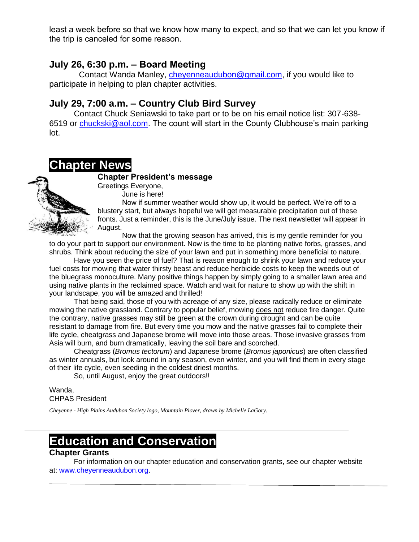least a week before so that we know how many to expect, and so that we can let you know if the trip is canceled for some reason.

## **July 26, 6:30 p.m. – Board Meeting**

Contact Wanda Manley, [cheyenneaudubon@gmail.com,](mailto:cheyenneaudubon@gmail.com) if you would like to participate in helping to plan chapter activities.

## **July 29, 7:00 a.m. – Country Club Bird Survey**

Contact Chuck Seniawski to take part or to be on his email notice list: 307-638- 6519 or [chuckski@aol.com.](mailto:chuckski@aol.com) The count will start in the County Clubhouse's main parking lot.

# **Chapter News**

#### **Chapter President's message**



Greetings Everyone, June is here!

Now if summer weather would show up, it would be perfect. We're off to a blustery start, but always hopeful we will get measurable precipitation out of these fronts. Just a reminder, this is the June/July issue. The next newsletter will appear in August.

Now that the growing season has arrived, this is my gentle reminder for you to do your part to support our environment. Now is the time to be planting native forbs, grasses, and shrubs. Think about reducing the size of your lawn and put in something more beneficial to nature.

Have you seen the price of fuel? That is reason enough to shrink your lawn and reduce your fuel costs for mowing that water thirsty beast and reduce herbicide costs to keep the weeds out of the bluegrass monoculture. Many positive things happen by simply going to a smaller lawn area and using native plants in the reclaimed space. Watch and wait for nature to show up with the shift in your landscape, you will be amazed and thrilled!

That being said, those of you with acreage of any size, please radically reduce or eliminate mowing the native grassland. Contrary to popular belief, mowing does not reduce fire danger. Quite the contrary, native grasses may still be green at the crown during drought and can be quite resistant to damage from fire. But every time you mow and the native grasses fail to complete their life cycle, cheatgrass and Japanese brome will move into those areas. Those invasive grasses from Asia will burn, and burn dramatically, leaving the soil bare and scorched.

Cheatgrass (*Bromus tectorum*) and Japanese brome (*Bromus japonicus*) are often classified as winter annuals, but look around in any season, even winter, and you will find them in every stage of their life cycle, even seeding in the coldest driest months.

So, until August, enjoy the great outdoors!!

Wanda, CHPAS President

*Cheyenne - High Plains Audubon Society logo, Mountain Plover, drawn by Michelle LaGory.*

# **Education and Conservation**

### **Chapter Grants**

For information on our chapter education and conservation grants, see our chapter website at: [www.cheyenneaudubon.org.](http://www.cheyenneaudubon.org/)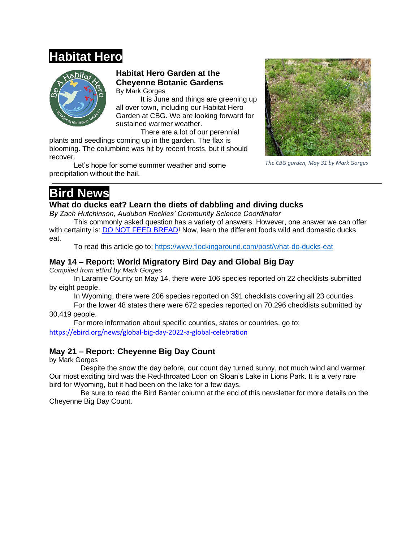# **Habitat Hero**



#### **Habitat Hero Garden at the Cheyenne Botanic Gardens** By Mark Gorges

It is June and things are greening up all over town, including our Habitat Hero Garden at CBG. We are looking forward for sustained warmer weather.

There are a lot of our perennial

plants and seedlings coming up in the garden. The flax is blooming. The columbine was hit by recent frosts, but it should recover.

Let's hope for some summer weather and some precipitation without the hail.



*The CBG garden, May 31 by Mark Gorges*

# **Bird News**

#### **What do ducks eat? Learn the diets of dabbling and diving ducks**

*By Zach Hutchinson, Audubon Rockies' Community Science Coordinator*

This commonly asked question has a variety of answers. However, one answer we can offer with certainty is: DO NOT FEED [BREAD!](https://www.flockingaround.com/post/is-bread-good-for-birds) Now, learn the different foods wild and domestic ducks eat.

To read this article go to: <https://www.flockingaround.com/post/what-do-ducks-eat>

### **May 14 – Report: World Migratory Bird Day and Global Big Day**

*Compiled from eBird by Mark Gorges*

In Laramie County on May 14, there were 106 species reported on 22 checklists submitted by eight people.

In Wyoming, there were 206 species reported on 391 checklists covering all 23 counties

For the lower 48 states there were 672 species reported on 70,296 checklists submitted by 30,419 people.

For more information about specific counties, states or countries, go to: <https://ebird.org/news/global-big-day-2022-a-global-celebration>

### **May 21 – Report: Cheyenne Big Day Count**

by Mark Gorges

Despite the snow the day before, our count day turned sunny, not much wind and warmer. Our most exciting bird was the Red-throated Loon on Sloan's Lake in Lions Park. It is a very rare bird for Wyoming, but it had been on the lake for a few days.

Be sure to read the Bird Banter column at the end of this newsletter for more details on the Cheyenne Big Day Count.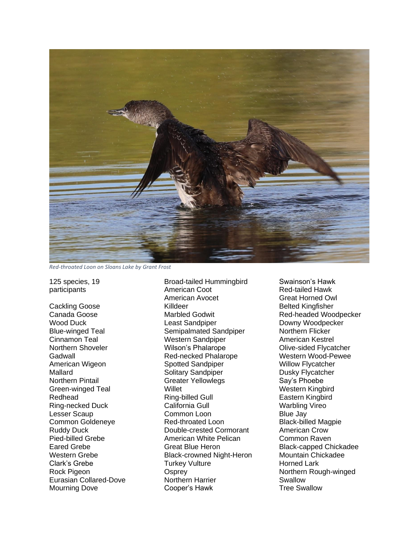

*Red-throated Loon on Sloans Lake by Grant Frost*

125 species, 19 participants

Cackling Goose Canada Goose Wood Duck Blue-winged Teal Cinnamon Teal Northern Shoveler Gadwall American Wigeon Mallard Northern Pintail Green-winged Teal Redhead Ring-necked Duck Lesser Scaup Common Goldeneye Ruddy Duck Pied-billed Grebe Eared Grebe Western Grebe Clark's Grebe Rock Pigeon Eurasian Collared-Dove Mourning Dove

Broad-tailed Hummingbird American Coot American Avocet Killdeer Marbled Godwit Least Sandpiper Semipalmated Sandpiper Western Sandpiper Wilson's Phalarope Red-necked Phalarope Spotted Sandpiper Solitary Sandpiper Greater Yellowlegs Willet Ring-billed Gull California Gull Common Loon Red-throated Loon Double-crested Cormorant American White Pelican Great Blue Heron Black-crowned Night-Heron Turkey Vulture **Osprev** Northern Harrier Cooper's Hawk

Swainson's Hawk Red-tailed Hawk Great Horned Owl Belted Kingfisher Red-headed Woodpecker Downy Woodpecker Northern Flicker American Kestrel Olive-sided Flycatcher Western Wood-Pewee Willow Flycatcher Dusky Flycatcher Say's Phoebe Western Kingbird Eastern Kingbird Warbling Vireo Blue Jay Black-billed Magpie American Crow Common Raven Black-capped Chickadee Mountain Chickadee Horned Lark Northern Rough-winged Swallow Tree Swallow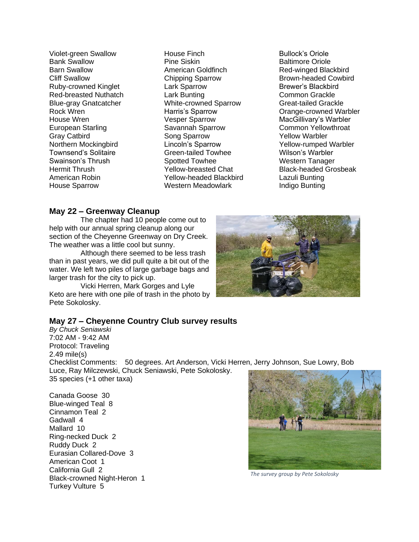Violet-green Swallow Bank Swallow Barn Swallow Cliff Swallow Ruby-crowned Kinglet Red-breasted Nuthatch Blue-gray Gnatcatcher Rock Wren House Wren European Starling Gray Catbird Northern Mockingbird Townsend's Solitaire Swainson's Thrush Hermit Thrush American Robin House Sparrow

House Finch Pine Siskin American Goldfinch Chipping Sparrow Lark Sparrow Lark Bunting White-crowned Sparrow Harris's Sparrow Vesper Sparrow Savannah Sparrow Song Sparrow Lincoln's Sparrow Green-tailed Towhee Spotted Towhee Yellow-breasted Chat Yellow-headed Blackbird Western Meadowlark

Bullock's Oriole Baltimore Oriole Red-winged Blackbird Brown-headed Cowbird Brewer's Blackbird Common Grackle Great-tailed Grackle Orange-crowned Warbler MacGillivary's Warbler Common Yellowthroat Yellow Warbler Yellow-rumped Warbler Wilson's Warbler Western Tanager Black-headed Grosbeak Lazuli Bunting Indigo Bunting

#### **May 22 – Greenway Cleanup**

The chapter had 10 people come out to help with our annual spring cleanup along our section of the Cheyenne Greenway on Dry Creek. The weather was a little cool but sunny.

Although there seemed to be less trash than in past years, we did pull quite a bit out of the water. We left two piles of large garbage bags and larger trash for the city to pick up.

Vicki Herren, Mark Gorges and Lyle Keto are here with one pile of trash in the photo by Pete Sokolosky.



*By Chuck Seniawski* 7:02 AM - 9:42 AM Protocol: Traveling 2.49 mile(s) Checklist Comments: 50 degrees. Art Anderson, Vicki Herren, Jerry Johnson, Sue Lowry, Bob Luce, Ray Milczewski, Chuck Seniawski, Pete Sokolosky. 35 species (+1 other taxa)

Canada Goose 30 Blue-winged Teal 8 Cinnamon Teal 2 Gadwall 4 Mallard 10 Ring-necked Duck 2 Ruddy Duck 2 Eurasian Collared-Dove 3 American Coot 1 California Gull 2 Black-crowned Night-Heron 1 Turkey Vulture 5



*The survey group by Pete Sokolosky*

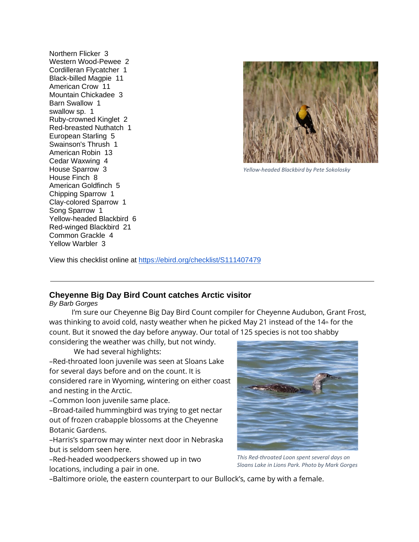Northern Flicker 3 Western Wood-Pewee 2 Cordilleran Flycatcher 1 Black-billed Magpie 11 American Crow 11 Mountain Chickadee 3 Barn Swallow 1 swallow sp. 1 Ruby-crowned Kinglet 2 Red-breasted Nuthatch 1 European Starling 5 Swainson's Thrush 1 American Robin 13 Cedar Waxwing 4 House Sparrow 3 House Finch 8 American Goldfinch 5 Chipping Sparrow 1 Clay-colored Sparrow 1 Song Sparrow 1 Yellow-headed Blackbird 6 Red-winged Blackbird 21 Common Grackle 4 Yellow Warbler 3



*Yellow-headed Blackbird by Pete Sokolosky*

View this checklist online at <https://ebird.org/checklist/S111407479>

#### **Cheyenne Big Day Bird Count catches Arctic visitor**

*By Barb Gorges*

 I'm sure our Cheyenne Big Day Bird Count compiler for Cheyenne Audubon, Grant Frost, was thinking to avoid cold, nasty weather when he picked May 21 instead of the 14<sup>th</sup> for the count. But it snowed the day before anyway. Our total of 125 species is not too shabby

considering the weather was chilly, but not windy.

We had several highlights:

–Red-throated loon juvenile was seen at Sloans Lake for several days before and on the count. It is considered rare in Wyoming, wintering on either coast and nesting in the Arctic.

–Common loon juvenile same place.

–Broad-tailed hummingbird was trying to get nectar out of frozen crabapple blossoms at the Cheyenne Botanic Gardens.

–Harris's sparrow may winter next door in Nebraska but is seldom seen here.

–Red-headed woodpeckers showed up in two locations, including a pair in one.



*This Red-throated Loon spent several days on Sloans Lake in Lions Park. Photo by Mark Gorges*

–Baltimore oriole, the eastern counterpart to our Bullock's, came by with a female.